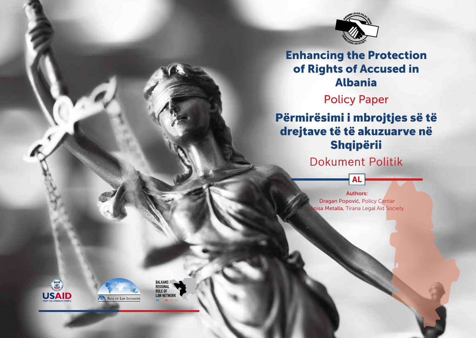

## Enhancing the Protection of Rights of Accused in Albania

## Policy Paper

# Përmirësimi i mbrojtjes së të drejtave të të akuzuarve në Shqipërii

Dokument Politik

AL

Authors: Dragan Popović, Policy Centar nisa Metalla, Tirana Legal Aid Society





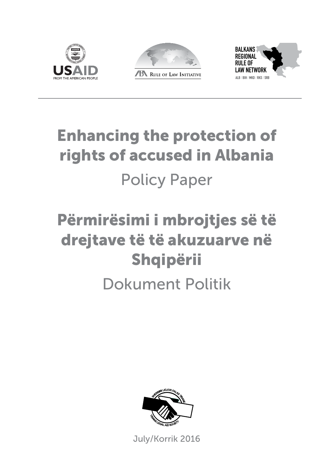





# Enhancing the protection of rights of accused in Albania Policy Paper

# Përmirësimi i mbrojtjes së të drejtave të të akuzuarve në Shqipërii

## Dokument Politik



July/Korrik 2016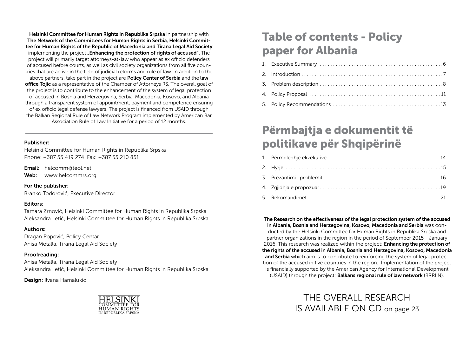Helsinki Committee for Human Rights in Republika Srpska in partnership with The Network of the Committees for Human Rights in Serbia, Helsinki Committee for Human Rights of the Republic of Macedonia and Tirana Legal Aid Society implementing the project **"Enhancing the protection of rights of accused**". The project will primarily target attorneys-at-law who appear as ex officio defenders of accused before courts, as well as civil society organizations from all five countries that are active in the field of judicial reforms and rule of law. In addition to the above partners, take part in the project are **Policy Center of Serbia** and the **law** office Tojic as a representative of the Chamber of Attorneys RS. The overall goal of the project is to contribute to the enhancement of the system of legal protection of accused in Bosnia and Herzegovina, Serbia, Macedonia, Kosovo, and Albania through a transparent system of appointment, payment and competence ensuring of ex officio legal defense lawyers. The project is financed from USAID through the Balkan Regional Rule of Law Network Program implemented by American Bar Association Rule of Law Initiative for a period of 12 months.

#### Publisher:

Helsinki Committee for Human Rights in Republika Srpska Phone: +387 55 419 274 Fax: +387 55 210 851

Email: helcomm@teol.net

Web: www.helcommrs.org

#### For the publisher:

Branko Todorović, Executive Director

### Editors:

Tamara Zrnović, Helsinki Committee for Human Rights in Republika Srpska Aleksandra Letić, Helsinki Committee for Human Rights in Republika Srpska

### Authors:

Dragan Popović, Policy Centar Anisa Metalla, Tirana Legal Aid Society

### Proofreading:

Anisa Metalla, Tirana Legal Aid Society Aleksandra Letić, Helsinki Committee for Human Rights in Republika Srpska

Design: Ilvana Hamalukić



# Table of contents - Policy paper for Albania

## Përmbajtja e dokumentit të politikave për Shqipërinë

The Research on the effectiveness of the legal protection system of the accused in Albania, Bosnia and Herzegovina, Kosovo, Macedonia and Serbia was conducted by the Helsinki Committee for Human Rights in Republika Srpska and partner organizations in the region in the period of September 2015 - January 2016. This research was realized within the project: **Enhancing the protection of** the rights of the accused in Albania, Bosnia and Herzegovina, Kosovo, Macedonia and Serbia which aim is to contribute to reinforcing the system of legal protection of the accused in five countries in the region. Implementation of the project is financially supported by the American Agency for International Development (USAID) through the project: Balkans regional rule of law network (BRRLN).

> THE OVERALL RESEARCH IS AVAILABLE ON CD on page 23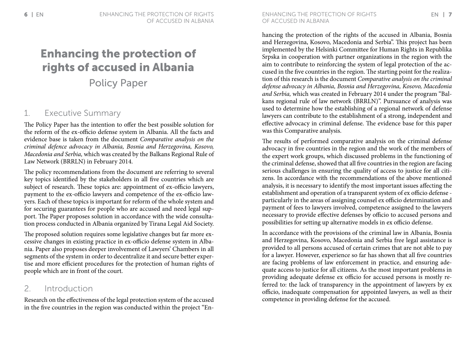# Enhancing the protection of rights of accused in Albania

Policy Paper

### 1. Executive Summary

The Policy Paper has the intention to offer the best possible solution for the reform of the ex-officio defense system in Albania. All the facts and evidence base is taken from the document *Comparative analysis on the criminal defence advocacy in Albania, Bosnia and Herzegovina, Kosovo, Macedonia and Serbia,* which was created by the Balkans Regional Rule of Law Network (BRRLN) in February 2014.

The policy recommendations from the document are referring to several key topics identified by the stakeholders in all five countries which are subject of research. These topics are: appointment of ex-officio lawyers, payment to the ex-officio lawyers and competence of the ex-officio lawyers. Each of these topics is important for reform of the whole system and for securing guarantees for people who are accused and need legal support. The Paper proposes solution in accordance with the wide consultation process conducted in Albania organized by Tirana Legal Aid Society.

The proposed solution requires some legislative changes but far more excessive changes in existing practice in ex-officio defense system in Albania. Paper also proposes deeper involvement of Lawyers' Chambers in all segments of the system in order to decentralize it and secure better expertise and more efficient procedures for the protection of human rights of people which are in front of the court.

### 2. Introduction

Research on the effectiveness of the legal protection system of the accused in the five countries in the region was conducted within the project "Enhancing the protection of the rights of the accused in Albania, Bosnia and Herzegovina, Kosovo, Macedonia and Serbia". This project has been implemented by the Helsinki Committee for Human Rights in Republika Srpska in cooperation with partner organizations in the region with the aim to contribute to reinforcing the system of legal protection of the accused in the five countries in the region. The starting point for the realization of this research is the document *Comparative analysis on the criminal defense advocacy in Albania, Bosnia and Herzegovina, Kosovo, Macedonia and Serbia,* which was created in February 2014 under the program "Balkans regional rule of law network (BRRLN)". Pursuance of analysis was used to determine how the establishing of a regional network of defense lawyers can contribute to the establishment of a strong, independent and effective advocacy in criminal defense. The evidence base for this paper was this Comparative analysis.

The results of performed comparative analysis on the criminal defense advocacy in five countries in the region and the work of the members of the expert work groups, which discussed problems in the functioning of the criminal defense, showed that all five countries in the region are facing serious challenges in ensuring the quality of access to justice for all citizens. In accordance with the recommendations of the above mentioned analysis, it is necessary to identify the most important issues affecting the establishment and operation of a transparent system of ex officio defense particularly in the areas of assigning counsel ex officio determination and payment of fees to lawyers involved, competence assigned to the lawyers necessary to provide effective defenses by officio to accused persons and possibilities for setting up alternative models in ex officio defense.

In accordance with the provisions of the criminal law in Albania, Bosnia and Herzegovina, Kosovo, Macedonia and Serbia free legal assistance is provided to all persons accused of certain crimes that are not able to pay for a lawyer. However, experience so far has shown that all five countries are facing problems of law enforcement in practice, and ensuring adequate access to justice for all citizens. As the most important problems in providing adequate defense ex officio for accused persons is mostly referred to: the lack of transparency in the appointment of lawyers by ex officio, inadequate compensation for appointed lawyers, as well as their competence in providing defense for the accused.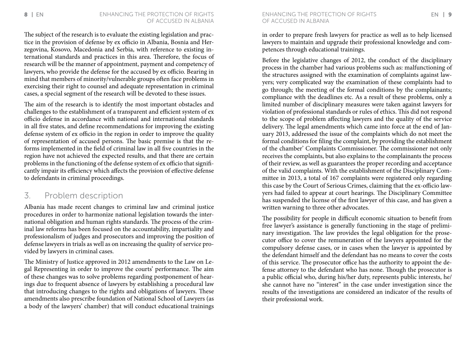The subject of the research is to evaluate the existing legislation and practice in the provision of defense by ex officio in Albania, Bosnia and Herzegovina, Kosovo, Macedonia and Serbia, with reference to existing international standards and practices in this area. Therefore, the focus of research will be the manner of appointment, payment and competency of lawyers, who provide the defense for the accused by ex officio. Bearing in mind that members of minority/vulnerable groups often face problems in exercising their right to counsel and adequate representation in criminal cases, a special segment of the research will be devoted to these issues.

The aim of the research is to identify the most important obstacles and challenges to the establishment of a transparent and efficient system of ex officio defense in accordance with national and international standards in all five states, and define recommendations for improving the existing defense system of ex officio in the region in order to improve the quality of representation of accused persons. The basic premise is that the reforms implemented in the field of criminal law in all five countries in the region have not achieved the expected results, and that there are certain problems in the functioning of the defense system of ex officio that significantly impair its efficiency which affects the provision of effective defense to defendants in criminal proceedings.

### 3. Problem description

Albania has made recent changes to criminal law and criminal justice procedures in order to harmonize national legislation towards the international obligation and human rights standards. The process of the criminal law reforms has been focused on the accountability, impartiality and professionalism of judges and prosecutors and improving the position of defense lawyers in trials as well as on increasing the quality of service provided by lawyers in criminal cases.

The Ministry of Justice approved in 2012 amendments to the Law on Legal Representing in order to improve the courts' performance. The aim of these changes was to solve problems regarding postponement of hearings due to frequent absence of lawyers by establishing a procedural law that introducing changes to the rights and obligations of lawyers. These amendments also prescribe foundation of National School of Lawyers (as a body of the lawyers' chamber) that will conduct educational trainings

8 EN ENHANCING THE PROTECTION OF RIGHTS ENHANCING THE PROTECTION OF RIGHTS EN 19 of accused in Albania

> in order to prepare fresh lawyers for practice as well as to help licensed lawyers to maintain and upgrade their professional knowledge and competences through educational trainings.

> Before the legislative changes of 2012, the conduct of the disciplinary process in the chamber had various problems such as: malfunctioning of the structures assigned with the examination of complaints against lawyers; very complicated way the examination of these complaints had to go through; the meeting of the formal conditions by the complainants; compliance with the deadlines etc. As a result of these problems, only a limited number of disciplinary measures were taken against lawyers for violation of professional standards or rules of ethics. This did not respond to the scope of problem affecting lawyers and the quality of the service delivery. The legal amendments which came into force at the end of January 2013, addressed the issue of the complaints which do not meet the formal conditions for filing the complaint, by providing the establishment of the chamber' Complaints Commissioner. The commissioner not only receives the complaints, but also explains to the complainants the process of their review, as well as guarantees the proper recording and acceptance of the valid complaints. With the establishment of the Disciplinary Committee in 2013, a total of 167 complaints were registered only regarding this case by the Court of Serious Crimes, claiming that the ex-officio lawyers had failed to appear at court hearings. The Disciplinary Committee has suspended the license of the first lawyer of this case, and has given a written warning to three other advocates.

> The possibility for people in difficult economic situation to benefit from free lawyer's assistance is generally functioning in the stage of preliminary investigation. The law provides the legal obligation for the prosecutor office to cover the remuneration of the lawyers appointed for the compulsory defense cases, or in cases when the lawyer is appointed by the defendant himself and the defendant has no means to cover the costs of this service. The prosecutor office has the authority to appoint the defense attorney to the defendant who has none. Though the prosecutor is a public official who, during his/her duty, represents public interests, he/ she cannot have no "interest" in the case under investigation since the results of the investigations are considered an indicator of the results of their professional work.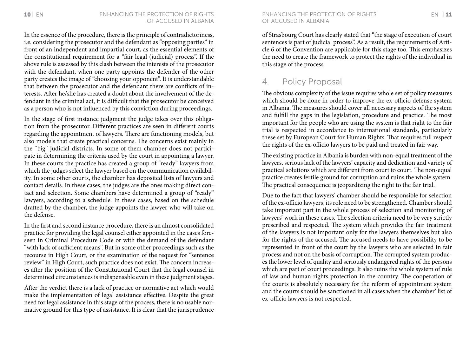In the essence of the procedure, there is the principle of contradictoriness, i.e. considering the prosecutor and the defendant as "opposing parties" in front of an independent and impartial court, as the essential elements of the constitutional requirement for a "fair legal (judicial) process". If the above rule is assessed by this clash between the interests of the prosecutor with the defendant, when one party appoints the defender of the other party creates the image of "choosing your opponent". It is understandable that between the prosecutor and the defendant there are conflicts of interests. After he/she has created a doubt about the involvement of the defendant in the criminal act, it is difficult that the prosecutor be conceived as a person who is not influenced by this conviction during proceedings.

In the stage of first instance judgment the judge takes over this obligation from the prosecutor. Different practices are seen in different courts regarding the appointment of lawyers. There are functioning models, but also models that create practical concerns. The concerns exist mainly in the "big" judicial districts. In some of them chamber does not participate in determining the criteria used by the court in appointing a lawyer. In these courts the practice has created a group of "ready" lawyers from which the judges select the lawyer based on the communication availability. In some other courts, the chamber has deposited lists of lawyers and contact details. In these cases, the judges are the ones making direct contact and selection. Some chambers have determined a group of "ready" lawyers, according to a schedule. In these cases, based on the schedule drafted by the chamber, the judge appoints the lawyer who will take on the defense.

In the first and second instance procedure, there is an almost consolidated practice for providing the legal counsel either appointed in the cases foreseen in Criminal Procedure Code or with the demand of the defendant "with lack of sufficient means". But in some other proceedings such as the recourse in High Court, or the examination of the request for "sentence review" in High Court, such practice does not exist. The concern increases after the position of the Constitutional Court that the legal counsel in determined circumstances is indispensable even in these judgment stages.

After the verdict there is a lack of practice or normative act which would make the implementation of legal assistance effective. Despite the great need for legal assistance in this stage of the process, there is no usable normative ground for this type of assistance. It is clear that the jurisprudence

of accused in Albania

of Strasbourg Court has clearly stated that "the stage of execution of court sentences is part of judicial process". As a result, the requirements of Article 6 of the Convention are applicable for this stage too. This emphasizes the need to create the framework to protect the rights of the individual in this stage of the process.

### 4. Policy Proposal

The obvious complexity of the issue requires whole set of policy measures which should be done in order to improve the ex-officio defense system in Albania. The measures should cover all necessary aspects of the system and fulfill the gaps in the legislation, procedure and practice. The most important for the people who are using the system is that right to the fair trial is respected in accordance to international standards, particularly these set by European Court for Human Rights. That requires full respect the rights of the ex-officio lawyers to be paid and treated in fair way.

The existing practice in Albania is burden with non-equal treatment of the lawyers, serious lack of the lawyers' capacity and dedication and variety of practical solutions which are different from court to court. The non-equal practice creates fertile ground for corruption and ruins the whole system. The practical consequence is jeopardizing the right to the fair trial.

Due to the fact that lawyers' chamber should be responsible for selection of the ex-officio lawyers, its role need to be strengthened. Chamber should take important part in the whole process of selection and monitoring of lawyers' work in these cases. The selection criteria need to be very strictly prescribed and respected. The system which provides the fair treatment of the lawyers is not important only for the lawyers themselves but also for the rights of the accused. The accused needs to have possibility to be represented in front of the court by the lawyers who are selected in fair process and not on the basis of corruption. The corrupted system produces the lower level of quality and seriously endangered rights of the persons which are part of court proceedings. It also ruins the whole system of rule of law and human rights protection in the country. The cooperation of the courts is absolutely necessary for the reform of appointment system and the courts should be sanctioned in all cases when the chamber' list of ex-officio lawyers is not respected.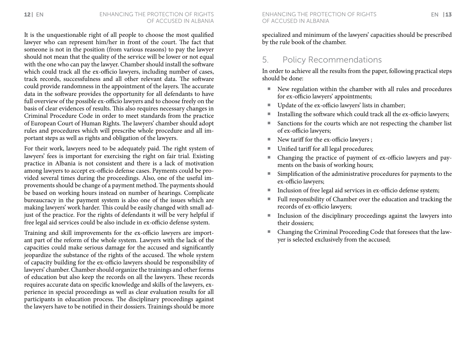It is the unquestionable right of all people to choose the most qualified lawyer who can represent him/her in front of the court. The fact that someone is not in the position (from various reasons) to pay the lawyer should not mean that the quality of the service will be lower or not equal with the one who can pay the lawyer. Chamber should install the software which could track all the ex-officio lawyers, including number of cases, track records, successfulness and all other relevant data. The software could provide randomness in the appointment of the layers. The accurate data in the software provides the opportunity for all defendants to have full overview of the possible ex-officio lawyers and to choose freely on the basis of clear evidences of results. This also requires necessary changes in Criminal Procedure Code in order to meet standards from the practice of European Court of Human Rights. The lawyers' chamber should adopt rules and procedures which will prescribe whole procedure and all important steps as well as rights and obligation of the lawyers.

For their work, lawyers need to be adequately paid. The right system of lawyers' fees is important for exercising the right on fair trial. Existing practice in Albania is not consistent and there is a lack of motivation among lawyers to accept ex-officio defense cases. Payments could be provided several times during the proceedings. Also, one of the useful improvements should be change of a payment method. The payments should be based on working hours instead on number of hearings. Complicate bureaucracy in the payment system is also one of the issues which are making lawyers' work harder. This could be easily changed with small adjust of the practice. For the rights of defendants it will be very helpful if free legal aid services could be also include in ex-officio defense system.

Training and skill improvements for the ex-officio lawyers are important part of the reform of the whole system. Lawyers with the lack of the capacities could make serious damage for the accused and significantly jeopardize the substance of the rights of the accused. The whole system of capacity building for the ex-officio lawyers should be responsibility of lawyers' chamber. Chamber should organize the trainings and other forms of education but also keep the records on all the lawyers. These records requires accurate data on specific knowledge and skills of the lawyers, experience in special proceedings as well as clear evaluation results for all participants in education process. The disciplinary proceedings against the lawyers have to be notified in their dossiers. Trainings should be more

specialized and minimum of the lawyers' capacities should be prescribed by the rule book of the chamber.

## 5. Policy Recommendations

In order to achieve all the results from the paper, following practical steps should be done:

- ¡ New regulation within the chamber with all rules and procedures for ex-officio lawyers' appointments;
- Update of the ex-officio lawyers' lists in chamber;
- Installing the software which could track all the ex-officio lawyers;
- Sanctions for the courts which are not respecting the chamber list of ex-officio lawyers;
- New tariff for the ex-officio lawyers ;
- Unified tariff for all legal procedures;
- Changing the practice of payment of ex-officio lawyers and payments on the basis of working hours;
- ¡ Simplification of the administrative procedures for payments to the ex-officio lawyers;
- Inclusion of free legal aid services in ex-officio defense system;
- Full responsibility of Chamber over the education and tracking the records of ex-officio lawyers;
- **Inclusion of the disciplinary proceedings against the lawyers into** their dossiers;
- Changing the Criminal Proceeding Code that foresees that the lawyer is selected exclusively from the accused;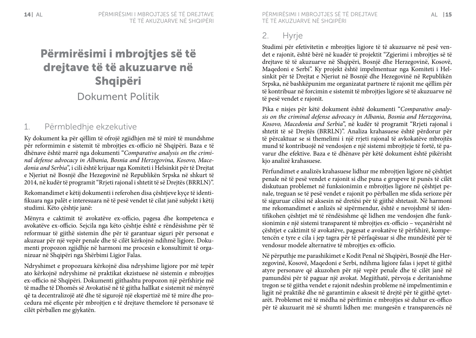# Përmirësimi i mbrojtjes së të drejtave të të akuzuarve në Shqipëri Dokument Politik

## 1. Përmbledhje ekzekutive

Ky dokument ka për qëllim të ofrojë zgjidhjen më të mirë të mundshme për reformimin e sistemit të mbrojtjes ex-officio në Shqipëri. Baza e të dhënave është marrë nga dokumenti "*Comparative analysis on the criminal defense advocacy in Albania, Bosnia and Herzegovina, Kosovo, Macedonia and Serbia*", i cili është krijuar nga Komiteti i Helsinkit për të Drejtat e Njeriut në Bosnjë dhe Hezegovinë në Republikën Srpska në shkurt të 2014, në kudër të programit "Rrjeti rajonal i shtetit të së Drejtës (BRRLN)".

Rekomandimet e këtij dokumenti i referohen disa çështjeve kyçe të identifikuara nga palët e interesuara në të pesë vendet të cilat janë subjekt i këtij studimi. Këto çështie janë:

Mënyra e caktimit të avokatëve ex-officio, pagesa dhe kompetenca e avokatëve ex-officio. Sejcila nga këto çështje është e rëndësishme për të reformuar të gjithë sistemin dhe për të garantuar siguri për personat e akuzuar për një vepër penale dhe të cilët kërkojnë ndihmë ligjore. Dokumenti propozon zgjidhje në harmoni me procesin e konsultimit të organizuar në Shqipëri nga Shërbimi Ligjor Falas.

Ndryshimet e propozuara kërkojnë disa ndryshime ligjore por më tepër ato kërkojnë ndryshime në praktikat ekzistuese në sistemin e mbrojtjes ex-officio në Shqipëri. Dokumenti gjithashtu propozon një përfshirje më të madhe të Dhomës së Avokatisë në të gjitha hallkat e sistemit në mënyrë që ta decentralizojë atë dhe të sigurojë një ekspertizë më të mire dhe procedura më efiçente për mbrojtjen e të drejtave themelore të personave të cilët përballen me gjykatën.

14 I AL PËRMIRËSIMI I MBROJTJES SË TË DREJTAVE PËRMIRËSIMI I MBROJTJES SË TË DREJTAVE AL 15 të të akuzuarve në Shqipëri

## 2. Hyrje

Studimi për efetivitetin e mbrojtjes ligjore të të akuzuarve në pesë vendet e rajonit, është bërë në kuadër të projektit "Zgjerimi i mbrojtjes së të drejtave të të akuzuarve në Shqipëri, Bosnjë dhe Herzegovinë, Kosovë, Maqedoni e Serbi". Ky projekt është impelmentuar nga Komiteti i Helsinkit për të Drejtat e Njeriut në Bosnjë dhe Hezegovinë në Republikën Srpska, në bashkëpunim me organizatat partnere të rajonit me qëllim për të kontribuar në forcimin e sistemit të mbrojtjes ligjore së të akuzuarve në të pesë vendet e rajonit.

Pika e nisjes për këtë dokument është dokumenti "*Comparative analysis on the criminal defense advocacy in Albania, Bosnia and Herzegovina, Kosovo, Macedonia and Serbia*", në kudër të programit "Rrjeti rajonal i shtetit të së Drejtës (BRRLN)". Analiza krahasuese është përdorur për të përcaktuar se si themelimi i një rrjeti rajonal të avkokatëve mbrojtës mund të kontribuojë në vendosjen e një sistemi mbrojtjeje të fortë, të pavarur dhe efektive. Baza e të dhënave për këtë dokument është pikërisht kjo analizë krahasuese.

Përfundimet e analizës krahasuese lidhur me mbrojtjen ligjore në çështjet penale në të pesë vendet e rajonit si dhe puna e grupeve të punës të cilët diskutuan problemet në funksionimin e mbrojtjes ligjore në çështjet penale, treguan se të pesë vendet e rajonit po përballen me sfida serioze për të siguruar cilësi në aksesin në dretësi për të gjithë shtetasit. Në harmoni me rekomandimet e anlizës së sipërmendur, është e nevojshmë të identifikohen çështjet më të rëndësishme që lidhen me vendosjen dhe funksionimin e një sistemi transparent të mbrojtjes ex-officio – veçanërisht në çështjet e caktimit të avokatëve, pagesat e avokatëve të përfshirë, kompetencën e tyre e cila i jep tagra për të përfaqësuar si dhe mundësitë për të vendosur modele alternative të mbrojtjes ex-officio.

Në përputhje me parashikimet e Kodit Penal në Shqipëri, Bosnjë dhe Herzegovinë, Kosovë, Maqedoni e Serbi, ndihma ligjore falas i jepet të gjithë atyre personave që akuzohen për një vepër penale dhe të cilët janë në pamundësi për të paguar një avokat. Megjithatë, përvoja e deritanishme tregon se të gjitha vendet e rajonit ndeshin probleme në impelmentimin e ligjit në praktikë dhe në garantimin e aksesit të drejtë për të gjithë qytetarët. Problemet më të mëdha në përftimin e mbrojtjes së duhur ex-offico për të akuzuarit më së shumti lidhen me: mungesën e transparencës në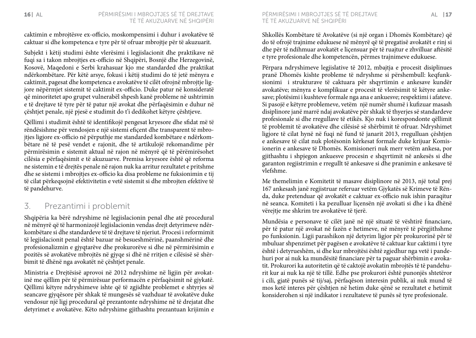caktimin e mbrojtësve ex-officio, moskompensimi i duhur i avokatëve të caktuar si dhe kompetenca e tyre për të ofruar mbrojtje për të akuzuarit.

Subjekt i këtij studimi ështe vlerësimi i legjislacionit dhe praktikave në fuqi sa i takon mbrojtjes ex-officio në Shqipëri, Bosnjë dhe Herzegovinë, Kosovë, Maqedoni e Serbi krahasuar kjo me standarded dhe praktikat ndërkombëtare. Për këtë arsye, fokusi i këtij studimi do të jetë mënyra e caktimit, pagesat dhe kompetenca e avokatëve të cilët ofrojnë mbrojtje ligjore nëpërmjet sistemit të caktimit ex-officio. Duke patur në konsideratë që minoritetet apo grupet vulnerabël shpesh kanë probleme në ushtrimin e të drejtave të tyre për të patur një avokat dhe përfaqësimin e duhur në çështjet penale, një pjesë e studimit do t'i dedikohet këtyre çështjeve.

Qëllimi i studimit është të identifikojë pengesat kryesore dhe sfidat më të rëndësishme për vendosjen e një sistemi efiçent dhe transparent të mbrojtjes ligjore ex-officio në përputhje me standarded kombëtare e ndërkombëtare në të pesë vendet e rajonit, dhe të artikulojë rekomandime për përmirësimin e sistemit aktual në rajon në mënyrë që të përëmirësohet cilësia e përfaqësimit e të akuzuarve. Premisa kryesore është që reforma ne sistemin e të drejtës penale në rajon nuk ka arritur rezultatet e pritshme dhe se sistemi i mbrojtjes ex-officio ka disa probleme ne fuksionimin e tij të cilat përkeqsojnë efektivitetin e vetë sistemit si dhe mbrojten efektive të të pandehurve.

## 3. Prezantimi i problemit

Shqipëria ka bërë ndryshime në legjislacionin penal dhe atë procedural në mënyrë që të harmonizojë legjislacionin vendas drejt detyrimeve ndërkombëtare si dhe standardeve të të drejtave të njeriut. Procesi i reformimit të legjislacionit penal është bazuar në besueshmërinë, paanshmërinë dhe profesionalizmin e gjyqtarëve dhe prokurorëve si dhe në përmirësimin e pozitës së avokatëve mbrojtës në gjyqe si dhë në rritjen e cilësisë së shërbimit të dhënë nga avokatët në çështjet penale.

Ministria e Drejtësisë aprovoi në 2012 ndryshime në ligjin për avokatinë me qëllim për të përmirësuar performacën e përfaqësimit në gjykatë. Qëllimi këtyre ndryshimeve ishte që të zgjidhte problemet e shtyrjes së seancave gjyqësore për shkak të mungesës së vazhduar të avokatëve duke vendosur një ligj procedural që prezantonte ndryshime në të drejatat dhe detyrimet e avokatëve. Këto ndryshime gjithashtu prezantuan krijimin e

Shkollës Kombëtare të Avokatëve (si një organ i Dhomës Kombëtare) që do të ofrojë trajnime edukuese në mënyrë që të pregatisë avokatët e rinj si dhe për të ndihmuar avokatët e liçensuar për të ruajtur e zhvilluar aftësitë e tyre profesionale dhe kompetencën, përmes trajnimeve edukuese.

Përpara ndryshimeve legjislative të 2012, mbajtja e procesit disiplinues pranë Dhomës kishte probleme të ndryshme si përshembull: keqfunksionimi i strukturave të caktuara për shqyrtimin e ankesave kundër avokatëve; mënyra e komplikuar e procesit të vlerësimit të këtyre ankesave; plotësimi i kushteve formale nga ana e ankuesve; respektimi i afateve. Si pasojë e këtyre problemeve, vetëm një numër shumë i kufizuar masash disiplinore janë marrë ndaj avokatëve për shkak të thyerjes së standardeve profesionale si dhe rregullave të etikës. Kjo nuk i korespondonte qëllimit të problemit të avokatëve dhe cilësisë së shërbimit të ofruar. Ndryshimet ligjore të cilat hynë në fuqi në fund të janarit 2013, rregulluan çështjen e ankesave të cilat nuk plotësonin kërkesat formale duke krijuar Komisionerin e ankesave të Dhomës. Komisioneri nuk merr vetëm ankesa, por gjithashtu i shpjegon ankuesve procesin e shqyrtimit në ankesës si dhe garanton regjistrimin e rregullt të ankesave si dhe pranimin e ankesave të vlefshme.

Me themelimin e Komitetit të masave disiplinore në 2013, një total prej 167 ankesash janë regjistruar referuar vetëm Gjykatës së Krimeve të Rënda, duke pretenduar që avokatët e caktuar ex-officio nuk ishin paraqitur në seanca. Komiteti i ka pezulluar liçensën një avokati si dhe i ka dhënë vërejtje me shkrim tre avokatëve të tjerë.

Mundësia e personave të cilët janë në një situatë të vështirë financiare, për të patur një avokat në fazën e hetimeve, në mënyrë të përgjithshme po funksionin. Ligji parashikon një detyrim ligjor për prokurorinë për të mbuluar shpenzimet për pagësen e avokatëve të caktuar kur caktimi i tyre është i detyrueshëm, si dhe kur mbrojtësi është zgjedhur nga vetë i pandehuri por ai nuk ka mundësitë financiare për ta paguar shërbimin e avokatit. Prokurori ka autoritetin që të caktojë avokatin mbrojtës të të pandehurit kur ai nuk ka një të tillë. Edhe pse prokurori është punonjës shtetëror i cili, gjatë punës së tij/saj, përfaqëson interesin publik, ai nuk mund të mos ketë interes për çështjen në hetim duke qënë se rezultatet e hetimit konsiderohen si një indikator i rezultateve të punës së tyre profesionale.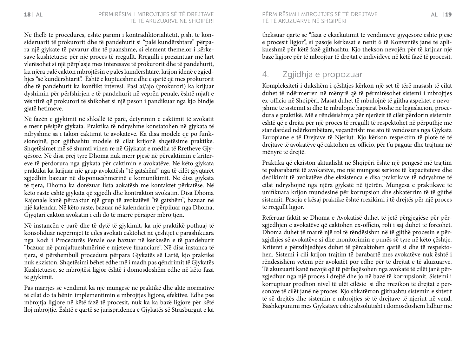Në thelb të procedurës, është parimi i kontradiktorialitetit, p.sh. të konsideruarit të prokurorit dhe të pandehurit si "palë kundërshtare" përpara një gjykate të pavarur dhe të paanshme, si element themelor i kërkesave kushtetuese për një proces të rregullt. Rregulli i prezantuar më lart vlerësohet si një përplasje mes interesave të prokurorit dhe të pandehurit, ku njëra palë cakton mbrojtësin e palës kundërshtare, krijon idenë e zgjedhjes "së kundërshtarit". Është e kuptueshme dhe e qartë që mes prokurorit dhe të pandehurit ka konflikt interesi. Pasi ai/ajo (prokurori) ka krijuar dyshimin për përfshirjen e të pandehurit në veprën penale, është mjaft e vështirë që prokurori të shikohet si një peson i pandikuar nga kjo bindje gjatë hetimeve.

Në fazën e gjykimit në shkallë të parë, detyrimin e caktimit të avokatit e merr pësipër gjykata. Praktika të ndryshme konstatohen në gjykata të ndryshme sa i takon caktimit të avokatëve. Ka disa modele që po funksionojnë, por gjithashtu modele të cilat krijonë shqetësime praktike. Shqetësimet më së shumti vihen re në Gjykatat e mëdha të Rretheve Gjyqësore. Në disa prej tyre Dhoma nuk merr pjesë në përcaktimin e kritereve të përdorura nga gjykata për caktimin e avokatëve. Në këto gjykata praktika ka krijuar një grup avokatësh "të gatshëm" nga të cilët gjyqtarët zgjedhin bazuar në disponueshmërinë e komunikimit. Në disa gjykata të tjera, Dhoma ka dorëzuar lista aokatësh me kontaktet përkatëse. Në këto raste është gjykata që zgjedh dhe kontrakton avokatin. Disa Dhoma Rajonale kanë përcaktur një grup të avokatëvë "të gatshëm", bazuar në një kalendar. Në këto raste, bazuar në kalendarin e përpiluar nga Dhoma, Gjyqtari cakton avokatin i cili do të marrë përsipër mbrojtjen.

Në instancën e parë dhe të dytë të gjykimit, ka një praktikë pothuaj të konsoliduar nëpërmjet të cilës avokati caktohet në çështjet e parashikuara nga Kodi i Procedurës Penale ose bazuar në kërkesën e të pandehurit "bazuar në pamjaftueshmërinë e mjeteve financiare". Në disa instanca të tjera, si përshembull procedura përpara Gjykatës së Lartë, kjo praktikë nuk ekziston. Shqetësimi bëhet edhe më i madh pas qëndrimit të Gjykatës Kushtetuese, se mbrojtësi ligjor është i domosdoshëm edhe në këto faza të gjykimit.

Pas marrjes së vendimit ka një mungesë në praktikë dhe akte normative të cilat do ta bënin implementimin e mbrojtjes ligjore, efektive. Edhe pse mbrojtja ligjore në këtë fazë të procesit, nuk ka ka bazë ligjore për këtë lloj mbrojtje. Është e qartë se jurispridenca e Gjykatës së Strasburgut e ka të të akuzuarve në Shqipëri

theksuar qartë se "faza e ekzekutimit të vendimeve gjyqësore është pjesë e procesit ligjor", si pasojë kërkesat e nenit 6 të Konventës janë të aplikueshmë për këtë fazë gjithashtu. Kjo thekson nevojën për të krijuar një bazë ligjore për të mbrojtur të drejtat e individëve në këtë fazë të procesit.

### 4. Zgjidhja e propozuar

Kompleksiteti i dukshëm i çështjes kërkon një set të tërë masash të cilat duhet të ndërmerren në mënyrë që të përmirësohet sistemi i mbrojtjes ex-officio në Shqipëri. Masat duhet të mbulojnë të gjitha aspektet e nevojshme të sistemit si dhe të mbulojnë hapsirat boshe në legjislacion, procedura e praktikë. Më e rëndësishmja për njerëzit të cilët përdorin sistemin është që e drejta për një proces të rregullt të respektohet në përputhje me standarded ndërkombëtare, veçanërisht me ato të vendosura nga Gjykata Europiane e të Drejtave të Njeriut. Kjo kërkon respektim të plotë të të drejtave të avokatëve që caktohen ex-officio, për t'u paguar dhe trajtuar në mënyrë të drejtë.

Praktika që ekziston aktualisht në Shqipëri është një pengesë më trajtim të pabarabartë të avokatëve, me një mungesë serioze të kapaciteteve dhe dedikimit të avokatëve dhe ekzistenca e disa praktikave të ndryshme të cilat ndryshojnë nga njëra gjykatë në tjetrën. Mungesa e praktikave të unifikuara krijon mundesinë për korrupsion dhe shkatërrim të të gjithë sistemit. Pasoja e kësaj praktike është rrezikimi i të drejtës për një proces të rregullt ligjor.

Referuar faktit se Dhoma e Avokatisë duhet të jetë përgjegjëse për përzgjedhjen e avokatëve që caktohen ex-officio, roli i saj duhet të forcohet. Dhoma duhet të marrë një rol të rëndësishm në të gjithë procesin e përzgjdhjes së avokatëve si dhe monitorimin e punës së tyre në këto çështje. Kriteret e përzdhjedhjes duhet të përcaktohen qartë si dhe të respektohen. Sistemi i cili krijon trajtim të barabartë mes avokatëve nuk është i rëndesishëm vetëm për avokatët por edhe për të drejtat e të akuzuarve. Të akuzuarit kanë nevojë që të përfaqësohen nga avokatë të cilët janë përzgjedhur nga një proces i drejtë dhe jo në bazë të korrupsionit. Sistemi i korruptuar prodhon nivel të ulët cilësie si dhe rrezikon të drejtat e personave të cilët janë në proces. Kjo shkatërron gjithashtu sistemin e shtetit të së drejtës dhe sistemin e mbrojtjes së të drejtave të njeriut në vend. Bashkëpunimi mes Gjykatave është absolutisht i domosdoshëm lidhur me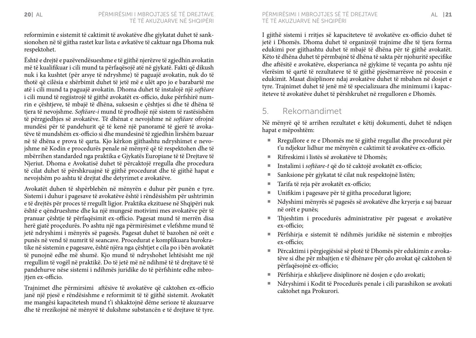reformimin e sistemit të caktimit të avokatëve dhe gjykatat duhet të sanksionohen në të gjitha rastet kur lista e avkatëve të caktuar nga Dhoma nuk respektohet.

Është e drejtë e pazëvendësueshme e të gjithë njerëzve të zgjedhin avokatin më të kualifikuar i cili mund ta përfaqësojë atë në gjykatë. Fakti që dikush nuk i ka kushtet (për arsye të ndryshme) të paguajë avokatin, nuk do të thotë që cilësia e shërbimit duhet të jetë më e ulët apo jo e barabartë me atë i cili mund ta paguajë avokatin. Dhoma duhet të instalojë një *softëare*  i cili mund të regjistrojë të gjithë avokatët ex-officio, duke përfshirë numrin e çështjeve, të mbajë të dhëna, suksesin e çështjes si dhe të dhëna të tjera të nevojshme. *Softëare-i* mund të prodhojë një sistem të rastësishëm të përzgjedhjes së avokatëve. Të dhënat e nevojshme në *softëare* ofrojnë mundësi për të pandehurit që të kenë një panoramë të gjerë të avokatëve të mundshëm ex-officio si dhe mundesinë të zgjedhin lirshëm bazuar në të dhëna e prova të qarta. Kjo kërkon gjithashtu ndryshimet e nevojshme në Kodin e procedurës penale në mënyrë që të respektohen dhe të mbërrihen standarded nga praktika e Gjykatës Europiane të të Drejtave të Njeriut. Dhoma e Avokatisë duhet të përcaktojë rregulla dhe procedura të cilat duhet të përshkruajnë të gjithë procedurat dhe të gjithë hapat e nevojshëm po ashtu të drejtat dhe detyrimet e avokatëve.

Avokatët duhen të shpërblehën në mënyrën e duhur për punën e tyre. Sistemi i duhur i pagesave të avokatëve është i rëndësishëm për ushtrimin e të drejtës për proces të rregullt ligjor. Praktika ekzituese në Shqipëri nuk është e qëndrueshme dhe ka një mungesë motivimi mes avokatëve për të pranuar çështje të përfaqësimit ex-officio. Pagesat mund të merrën disa herë gjatë proçedurës. Po ashtu një nga përmirësimet e vlefshme mund të jetë ndryshimi i mënyrës së pagesës. Pagesat duhet të bazohen në orët e punës në vend të numrit të seancave. Procedurat e komplikuara burokratike në sistemin e pagesave, është njëra nga çështjet e cila po i bën avokatët të punojnë edhe më shumë. Kjo mund të ndryshohet lehtësisht me një rregullim të vogël në praktikë. Do të jetë më në ndihmë të të drejtave të të pandehurve nëse sistemi i ndihmës juridike do të përfshinte edhe mbrojtjen ex-officio.

Trajnimet dhe përmirsimi aftësive të avokatëve që caktohen ex-officio janë një pjesë e rëndësishme e reformimit të të gjithë sistemit. Avokatët me mangësi kapacitetesh mund t'i shkaktojnë dëme serioze të akuzuarve dhe të rrezikojnë në mënyrë të dukshme substancën e të drejtave të tyre.

të të akuzuarve në Shqipëri

I gjithë sistemi i rritjes së kapaciteteve të avokatëve ex-officio duhet të jetë i Dhomës. Dhoma duhet të organizojë trajnime dhe të tjera forma edukimi por gjithashtu duhet të mbajë të dhëna për të gjithë avokatët. Këto të dhëna duhet të përmbajnë të dhëna të sakta për njohuritë specifike dhe aftësitë e avokatëve, eksperianca në gjykime të veçanta po ashtu një vlerësim të qartë të rezultateve të të gjithë pjesëmarrësve në procesin e edukimit. Masat disiplinore ndaj avokatëve duhet të mbahen në dosjet e tyre. Trajnimet duhet të jenë më të specializuara dhe minimumi i kapaciteteve të avokatëve duhet të përshkruhet në rregulloren e Dhomës.

### 5. Rekomandimet

Në mënyrë që të arrihen rezultatet e këtij dokumenti, duhet të ndiqen hapat e mëposhtëm:

- ¡ Rregullore e re e Dhomës me të gjithë rregullat dhe procedurat për t'u ndjekur lidhur me mënyrën e caktimit të avokatëve ex-officio.
- Rifreskimi i listës së avokatëve të Dhomës:
- ¡ Instalimi i *softëare-t* që do të caktojë avokatët ex-officio;
- Sanksione për gjykatat të cilat nuk respektojnë listën;
- Tarifa të reja për avokatët ex-officio;
- Unifikim i pagesave për të gjitha procedurat ligjore;
- ¡ Ndyshimi mënyrës së pagesës së avokatëve dhe kryerja e saj bazuar në orët e punës;
- ¡ Thjeshtim i procedurës administrative për pagesat e avokatëve ex-officio;
- ¡ Përfshirja e sistemit të ndihmës juridike në sistemin e mbrojtjes ex-officio;
- ¡ Përcaktimi i përgjegjësisë së plotë të Dhomës për edukimin e avokatëve si dhe për mbajtjen e të dhënave për çdo avokat që caktohen të përfaqësojnë ex-officio;
- Përfshirja e shkeljeve disiplinore në dosjen e çdo avokati;
- ¡ Ndryshimi i Kodit të Procedurës penale i cili parashikon se avokati caktohet nga Prokurori.